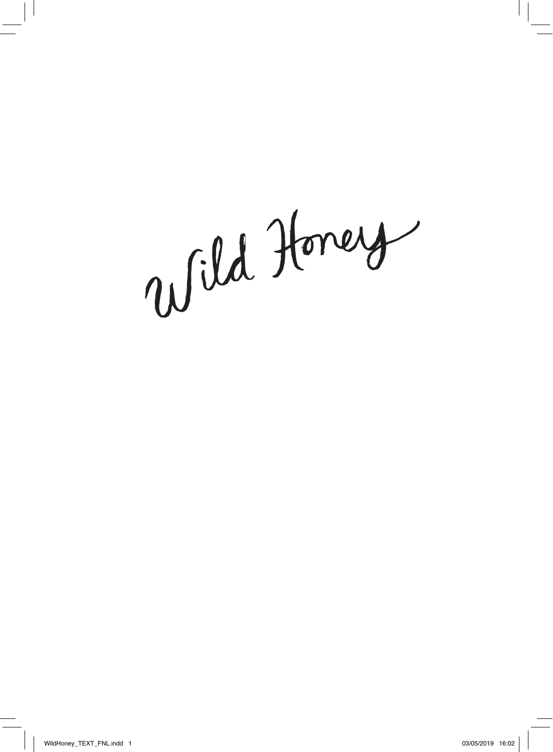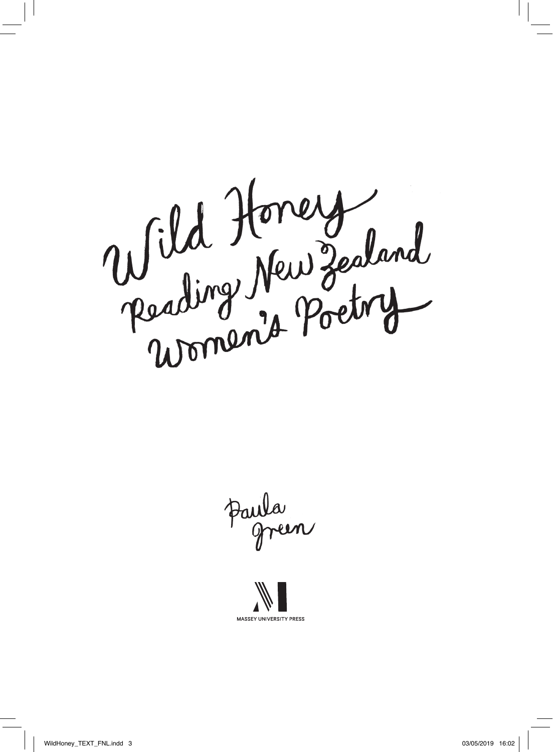

Paula<br>green

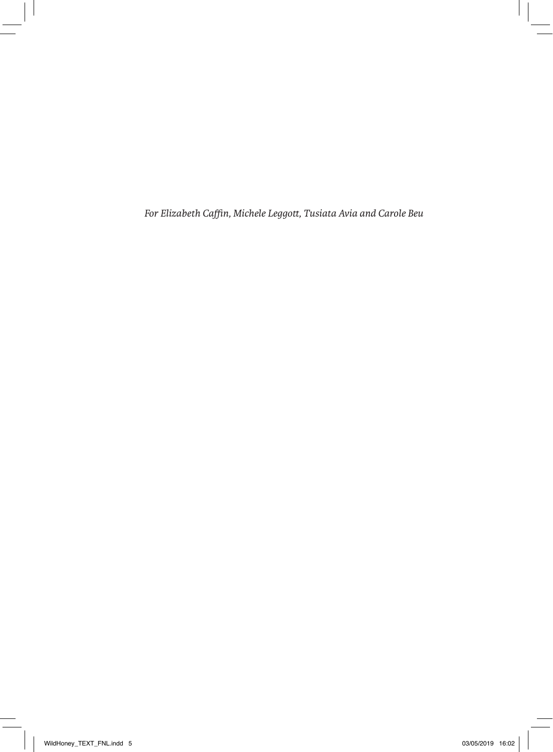*For Elizabeth Caffin, Michele Leggott, Tusiata Avia and Carole Beu*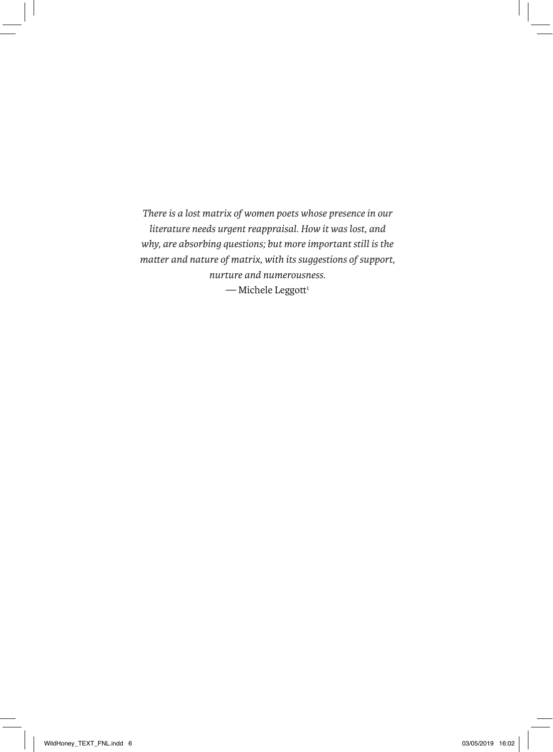*There is a lost matrix of women poets whose presence in our literature needs urgent reappraisal. How it was lost, and why, are absorbing questions; but more important still is the matter and nature of matrix, with its suggestions of support, nurture and numerousness.*  $-$  Michele Leggott<sup>1</sup>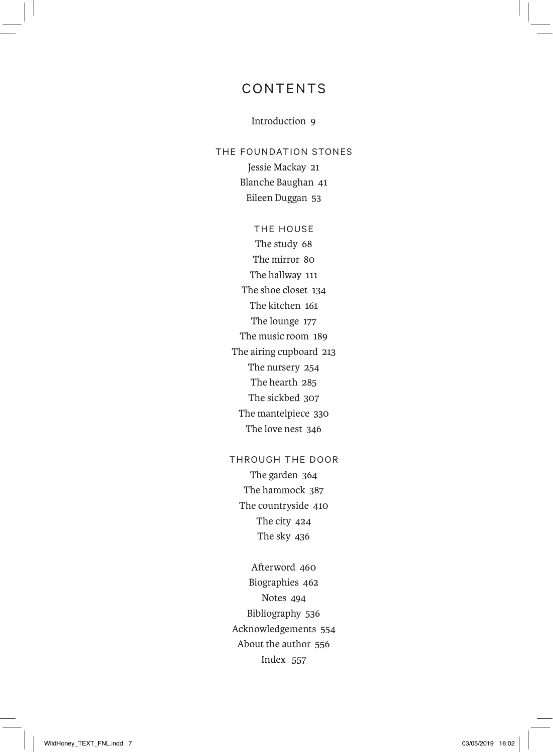## CONTENTS

## Introduction 9

THE FOUNDATION STONES Jessie Mackay 21 Blanche Baughan 41 Eileen Duggan 53

> THE HOUSE The study 68 The mirror 80 The hallway 111 The shoe closet 134 The kitchen 161 The lounge 177 The music room 189 The airing cupboard 213 The nursery 254 The hearth 285 The sickbed 307 The mantelpiece 330 The love nest 346

## THROUGH THE DOOR

The garden 364 The hammock 387 The countryside 410 The city 424 The sky 436

Afterword 460 Biographies 462 Notes 494 Bibliography 536 Acknowledgements 554 About the author 556 Index 557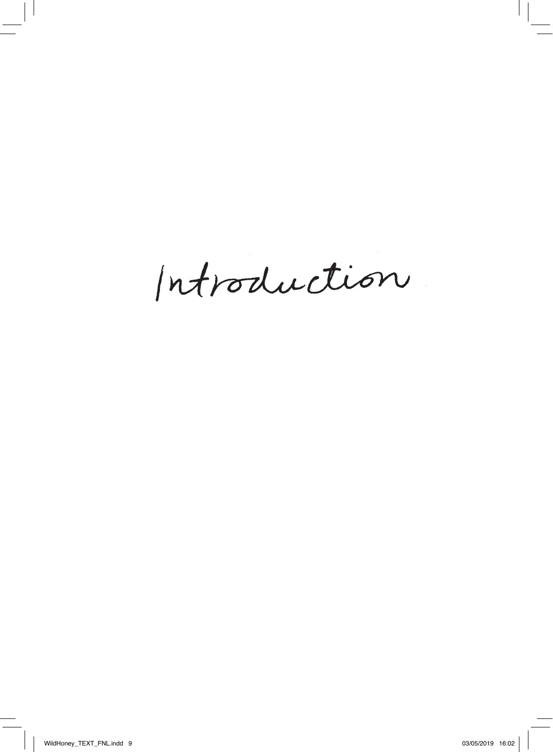Introduction.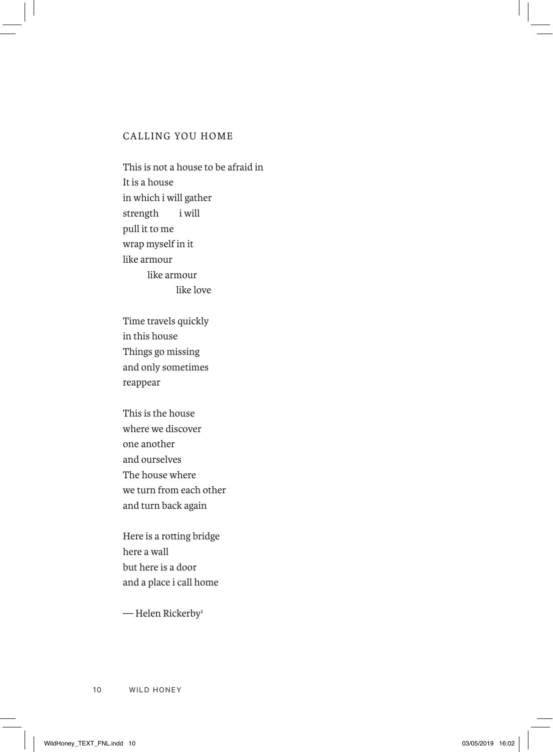## CALLING YOU HOME

This is not a house to be afraid in It is a house in which i will gather strength i will pull it to me wrap myself in it like armour like armour like love

Time travels quickly in this house Things go missing and only sometimes reappear

This is the house where we discover one another and ourselves The house where we turn from each other and turn back again

Here is a rotting bridge here a wall but here is a door and a place i call home

— Helen Rickerby1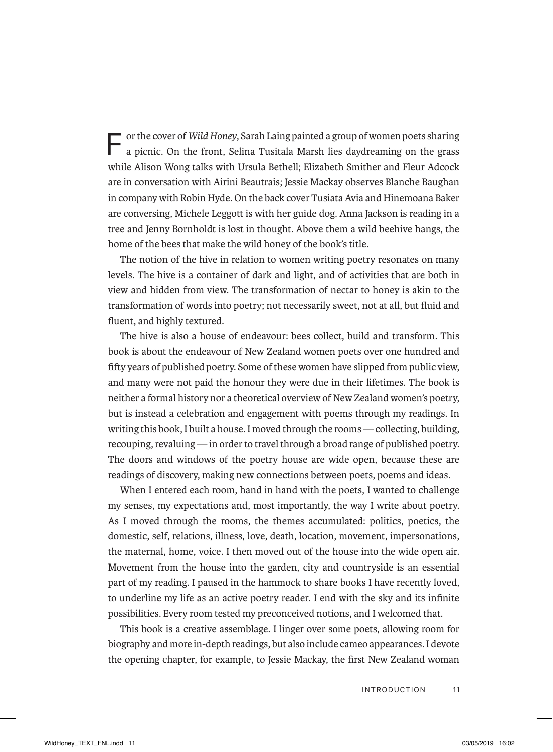F or the cover of *Wild Honey*, Sarah Laing painted a group of women poets sharing a picnic. On the front, Selina Tusitala Marsh lies daydreaming on the grass while Alison Wong talks with Ursula Bethell; Elizabeth Smither and Fleur Adcock are in conversation with Airini Beautrais; Jessie Mackay observes Blanche Baughan in company with Robin Hyde. On the back cover Tusiata Avia and Hinemoana Baker are conversing, Michele Leggott is with her guide dog. Anna Jackson is reading in a tree and Jenny Bornholdt is lost in thought. Above them a wild beehive hangs, the home of the bees that make the wild honey of the book's title.

The notion of the hive in relation to women writing poetry resonates on many levels. The hive is a container of dark and light, and of activities that are both in view and hidden from view. The transformation of nectar to honey is akin to the transformation of words into poetry; not necessarily sweet, not at all, but fluid and fluent, and highly textured.

The hive is also a house of endeavour: bees collect, build and transform. This book is about the endeavour of New Zealand women poets over one hundred and fifty years of published poetry. Some of these women have slipped from public view, and many were not paid the honour they were due in their lifetimes. The book is neither a formal history nor a theoretical overview of New Zealand women's poetry, but is instead a celebration and engagement with poems through my readings. In writing this book, I built a house. I moved through the rooms — collecting, building, recouping, revaluing — in order to travel through a broad range of published poetry. The doors and windows of the poetry house are wide open, because these are readings of discovery, making new connections between poets, poems and ideas.

When I entered each room, hand in hand with the poets, I wanted to challenge my senses, my expectations and, most importantly, the way I write about poetry. As I moved through the rooms, the themes accumulated: politics, poetics, the domestic, self, relations, illness, love, death, location, movement, impersonations, the maternal, home, voice. I then moved out of the house into the wide open air. Movement from the house into the garden, city and countryside is an essential part of my reading. I paused in the hammock to share books I have recently loved, to underline my life as an active poetry reader. I end with the sky and its infinite possibilities. Every room tested my preconceived notions, and I welcomed that.

This book is a creative assemblage. I linger over some poets, allowing room for biography and more in-depth readings, but also include cameo appearances. I devote the opening chapter, for example, to Jessie Mackay, the first New Zealand woman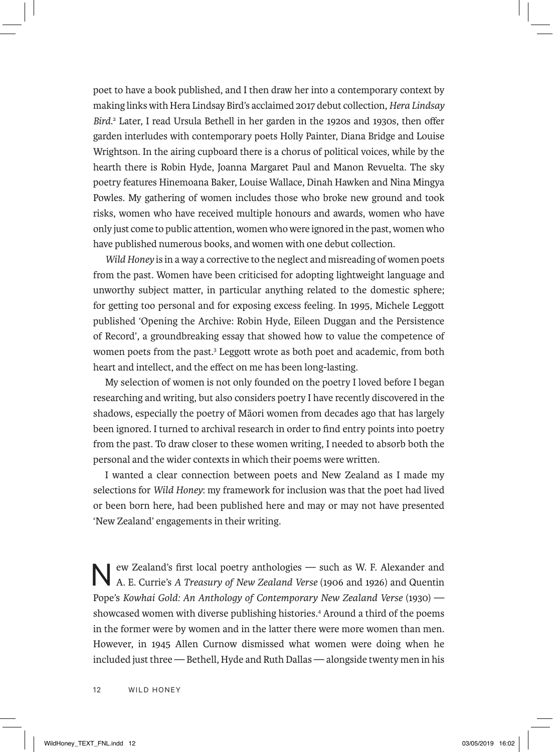poet to have a book published, and I then draw her into a contemporary context by making links with Hera Lindsay Bird's acclaimed 2017 debut collection, *Hera Lindsay Bird*. 2 Later, I read Ursula Bethell in her garden in the 1920s and 1930s, then offer garden interludes with contemporary poets Holly Painter, Diana Bridge and Louise Wrightson. In the airing cupboard there is a chorus of political voices, while by the hearth there is Robin Hyde, Joanna Margaret Paul and Manon Revuelta. The sky poetry features Hinemoana Baker, Louise Wallace, Dinah Hawken and Nina Mingya Powles. My gathering of women includes those who broke new ground and took risks, women who have received multiple honours and awards, women who have only just come to public attention, women who were ignored in the past, women who have published numerous books, and women with one debut collection.

*Wild Honey* is in a way a corrective to the neglect and misreading of women poets from the past. Women have been criticised for adopting lightweight language and unworthy subject matter, in particular anything related to the domestic sphere; for getting too personal and for exposing excess feeling. In 1995, Michele Leggott published 'Opening the Archive: Robin Hyde, Eileen Duggan and the Persistence of Record', a groundbreaking essay that showed how to value the competence of women poets from the past.<sup>3</sup> Leggott wrote as both poet and academic, from both heart and intellect, and the effect on me has been long-lasting.

My selection of women is not only founded on the poetry I loved before I began researching and writing, but also considers poetry I have recently discovered in the shadows, especially the poetry of Māori women from decades ago that has largely been ignored. I turned to archival research in order to find entry points into poetry from the past. To draw closer to these women writing, I needed to absorb both the personal and the wider contexts in which their poems were written.

I wanted a clear connection between poets and New Zealand as I made my selections for *Wild Honey*: my framework for inclusion was that the poet had lived or been born here, had been published here and may or may not have presented 'New Zealand' engagements in their writing.

 $\blacktriangleright$  ew Zealand's first local poetry anthologies — such as W. F. Alexander and A. E. Currie's *A Treasury of New Zealand Verse* (1906 and 1926) and Quentin Pope's *Kowhai Gold: An Anthology of Contemporary New Zealand Verse* (1930) showcased women with diverse publishing histories.<sup>4</sup> Around a third of the poems in the former were by women and in the latter there were more women than men. However, in 1945 Allen Curnow dismissed what women were doing when he included just three — Bethell, Hyde and Ruth Dallas — alongside twenty men in his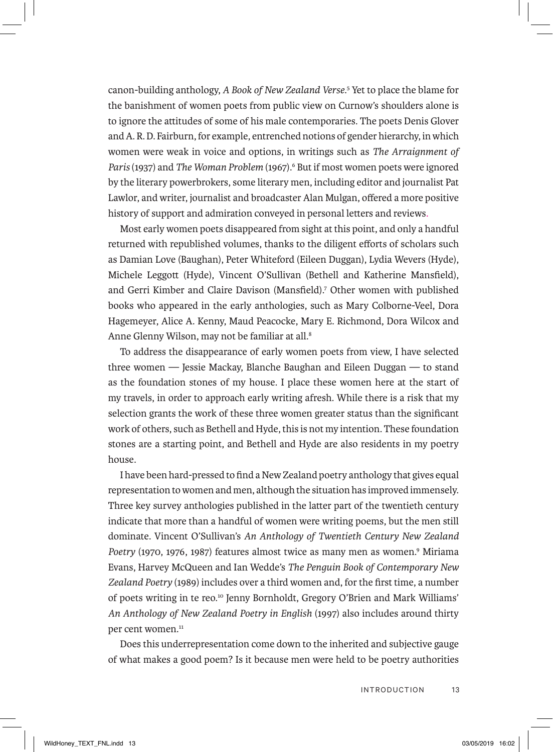canon-building anthology, *A Book of New Zealand Verse*. 5 Yet to place the blame for the banishment of women poets from public view on Curnow's shoulders alone is to ignore the attitudes of some of his male contemporaries. The poets Denis Glover and A. R. D. Fairburn, for example, entrenched notions of gender hierarchy, in which women were weak in voice and options, in writings such as *The Arraignment of*  Paris (1937) and *The Woman Problem* (1967).<sup>6</sup> But if most women poets were ignored by the literary powerbrokers, some literary men, including editor and journalist Pat Lawlor, and writer, journalist and broadcaster Alan Mulgan, offered a more positive history of support and admiration conveyed in personal letters and reviews.

Most early women poets disappeared from sight at this point, and only a handful returned with republished volumes, thanks to the diligent efforts of scholars such as Damian Love (Baughan), Peter Whiteford (Eileen Duggan), Lydia Wevers (Hyde), Michele Leggott (Hyde), Vincent O'Sullivan (Bethell and Katherine Mansfield), and Gerri Kimber and Claire Davison (Mansfield).7 Other women with published books who appeared in the early anthologies, such as Mary Colborne-Veel, Dora Hagemeyer, Alice A. Kenny, Maud Peacocke, Mary E. Richmond, Dora Wilcox and Anne Glenny Wilson, may not be familiar at all.8

To address the disappearance of early women poets from view, I have selected three women — Jessie Mackay, Blanche Baughan and Eileen Duggan — to stand as the foundation stones of my house. I place these women here at the start of my travels, in order to approach early writing afresh. While there is a risk that my selection grants the work of these three women greater status than the significant work of others, such as Bethell and Hyde, this is not my intention. These foundation stones are a starting point, and Bethell and Hyde are also residents in my poetry house.

I have been hard-pressed to find a New Zealand poetry anthology that gives equal representation to women and men, although the situation has improved immensely. Three key survey anthologies published in the latter part of the twentieth century indicate that more than a handful of women were writing poems, but the men still dominate. Vincent O'Sullivan's *An Anthology of Twentieth Century New Zealand*  Poetry (1970, 1976, 1987) features almost twice as many men as women.<sup>9</sup> Miriama Evans, Harvey McQueen and Ian Wedde's *The Penguin Book of Contemporary New Zealand Poetry* (1989) includes over a third women and, for the first time, a number of poets writing in te reo.10 Jenny Bornholdt, Gregory O'Brien and Mark Williams' *An Anthology of New Zealand Poetry in English* (1997) also includes around thirty per cent women.<sup>11</sup>

Does this underrepresentation come down to the inherited and subjective gauge of what makes a good poem? Is it because men were held to be poetry authorities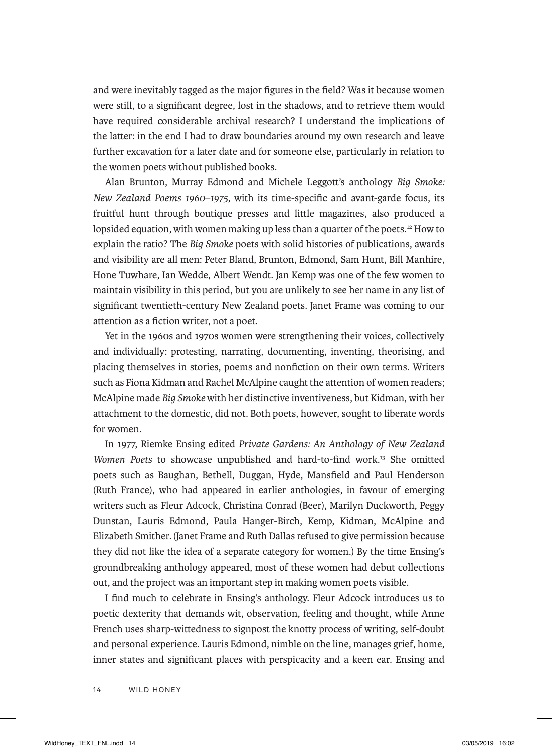and were inevitably tagged as the major figures in the field? Was it because women were still, to a significant degree, lost in the shadows, and to retrieve them would have required considerable archival research? I understand the implications of the latter: in the end I had to draw boundaries around my own research and leave further excavation for a later date and for someone else, particularly in relation to the women poets without published books.

Alan Brunton, Murray Edmond and Michele Leggott's anthology *Big Smoke: New Zealand Poems 1960–1975*, with its time-specific and avant-garde focus, its fruitful hunt through boutique presses and little magazines, also produced a lopsided equation, with women making up less than a quarter of the poets.12 How to explain the ratio? The *Big Smoke* poets with solid histories of publications, awards and visibility are all men: Peter Bland, Brunton, Edmond, Sam Hunt, Bill Manhire, Hone Tuwhare, Ian Wedde, Albert Wendt. Jan Kemp was one of the few women to maintain visibility in this period, but you are unlikely to see her name in any list of significant twentieth-century New Zealand poets. Janet Frame was coming to our attention as a fiction writer, not a poet.

Yet in the 1960s and 1970s women were strengthening their voices, collectively and individually: protesting, narrating, documenting, inventing, theorising, and placing themselves in stories, poems and nonfiction on their own terms. Writers such as Fiona Kidman and Rachel McAlpine caught the attention of women readers; McAlpine made *Big Smoke* with her distinctive inventiveness, but Kidman, with her attachment to the domestic, did not. Both poets, however, sought to liberate words for women.

In 1977, Riemke Ensing edited *Private Gardens: An Anthology of New Zealand Women Poets* to showcase unpublished and hard-to-find work.13 She omitted poets such as Baughan, Bethell, Duggan, Hyde, Mansfield and Paul Henderson (Ruth France), who had appeared in earlier anthologies, in favour of emerging writers such as Fleur Adcock, Christina Conrad (Beer), Marilyn Duckworth, Peggy Dunstan, Lauris Edmond, Paula Hanger-Birch, Kemp, Kidman, McAlpine and Elizabeth Smither. (Janet Frame and Ruth Dallas refused to give permission because they did not like the idea of a separate category for women.) By the time Ensing's groundbreaking anthology appeared, most of these women had debut collections out, and the project was an important step in making women poets visible.

I find much to celebrate in Ensing's anthology. Fleur Adcock introduces us to poetic dexterity that demands wit, observation, feeling and thought, while Anne French uses sharp-wittedness to signpost the knotty process of writing, self-doubt and personal experience. Lauris Edmond, nimble on the line, manages grief, home, inner states and significant places with perspicacity and a keen ear. Ensing and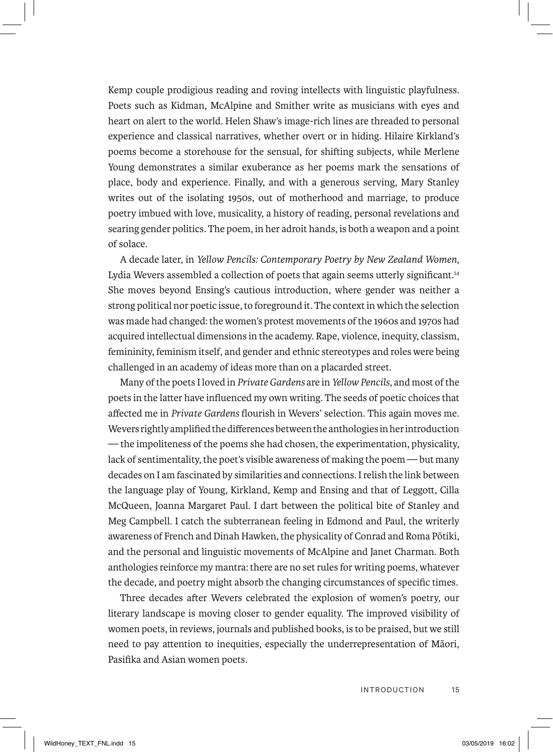Kemp couple prodigious reading and roving intellects with linguistic playfulness. Poets such as Kidman, McAlpine and Smither write as musicians with eyes and heart on alert to the world. Helen Shaw's image-rich lines are threaded to personal experience and classical narratives, whether overt or in hiding. Hilaire Kirkland's poems become a storehouse for the sensual, for shifting subjects, while Merlene Young demonstrates a similar exuberance as her poems mark the sensations of place, body and experience. Finally, and with a generous serving, Mary Stanley writes out of the isolating 1950s, out of motherhood and marriage, to produce poetry imbued with love, musicality, a history of reading, personal revelations and searing gender politics. The poem, in her adroit hands, is both a weapon and a point of solace.

A decade later, in *Yellow Pencils: Contemporary Poetry by New Zealand Women*, Lydia Wevers assembled a collection of poets that again seems utterly significant.<sup>14</sup> She moves beyond Ensing's cautious introduction, where gender was neither a strong political nor poetic issue, to foreground it. The context in which the selection was made had changed: the women's protest movements of the 1960s and 1970s had acquired intellectual dimensions in the academy. Rape, violence, inequity, classism, femininity, feminism itself, and gender and ethnic stereotypes and roles were being challenged in an academy of ideas more than on a placarded street.

Many of the poets I loved in *Private Gardens* are in *Yellow Pencils*, and most of the poets in the latter have influenced my own writing. The seeds of poetic choices that affected me in *Private Gardens* flourish in Wevers' selection. This again moves me. Wevers rightly amplified the differences between the anthologies in her introduction — the impoliteness of the poems she had chosen, the experimentation, physicality, lack of sentimentality, the poet's visible awareness of making the poem — but many decades on I am fascinated by similarities and connections. I relish the link between the language play of Young, Kirkland, Kemp and Ensing and that of Leggott, Cilla McQueen, Joanna Margaret Paul. I dart between the political bite of Stanley and Meg Campbell. I catch the subterranean feeling in Edmond and Paul, the writerly awareness of French and Dinah Hawken, the physicality of Conrad and Roma Pōtiki, and the personal and linguistic movements of McAlpine and Janet Charman. Both anthologies reinforce my mantra: there are no set rules for writing poems, whatever the decade, and poetry might absorb the changing circumstances of specific times.

Three decades after Wevers celebrated the explosion of women's poetry, our literary landscape is moving closer to gender equality. The improved visibility of women poets, in reviews, journals and published books, is to be praised, but we still need to pay attention to inequities, especially the underrepresentation of Māori, Pasifika and Asian women poets.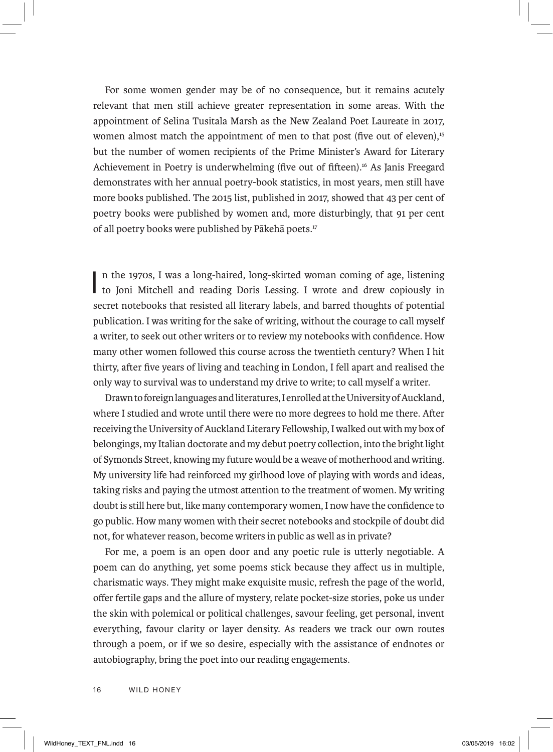For some women gender may be of no consequence, but it remains acutely relevant that men still achieve greater representation in some areas. With the appointment of Selina Tusitala Marsh as the New Zealand Poet Laureate in 2017, women almost match the appointment of men to that post (five out of eleven).<sup>15</sup> but the number of women recipients of the Prime Minister's Award for Literary Achievement in Poetry is underwhelming (five out of fifteen).16 As Janis Freegard demonstrates with her annual poetry-book statistics, in most years, men still have more books published. The 2015 list, published in 2017, showed that 43 per cent of poetry books were published by women and, more disturbingly, that 91 per cent of all poetry books were published by Pākehā poets.17

In the 1970s, I was a long-haired, long-skirted woman coming of age, listening to Joni Mitchell and reading Doris Lessing. I wrote and drew copiously in n the 1970s, I was a long-haired, long-skirted woman coming of age, listening secret notebooks that resisted all literary labels, and barred thoughts of potential publication. I was writing for the sake of writing, without the courage to call myself a writer, to seek out other writers or to review my notebooks with confidence. How many other women followed this course across the twentieth century? When I hit thirty, after five years of living and teaching in London, I fell apart and realised the only way to survival was to understand my drive to write; to call myself a writer.

Drawn to foreign languages and literatures, I enrolled at the University of Auckland, where I studied and wrote until there were no more degrees to hold me there. After receiving the University of Auckland Literary Fellowship, I walked out with my box of belongings, my Italian doctorate and my debut poetry collection, into the bright light of Symonds Street, knowing my future would be a weave of motherhood and writing. My university life had reinforced my girlhood love of playing with words and ideas, taking risks and paying the utmost attention to the treatment of women. My writing doubt is still here but, like many contemporary women, I now have the confidence to go public. How many women with their secret notebooks and stockpile of doubt did not, for whatever reason, become writers in public as well as in private?

For me, a poem is an open door and any poetic rule is utterly negotiable. A poem can do anything, yet some poems stick because they affect us in multiple, charismatic ways. They might make exquisite music, refresh the page of the world, offer fertile gaps and the allure of mystery, relate pocket-size stories, poke us under the skin with polemical or political challenges, savour feeling, get personal, invent everything, favour clarity or layer density. As readers we track our own routes through a poem, or if we so desire, especially with the assistance of endnotes or autobiography, bring the poet into our reading engagements.